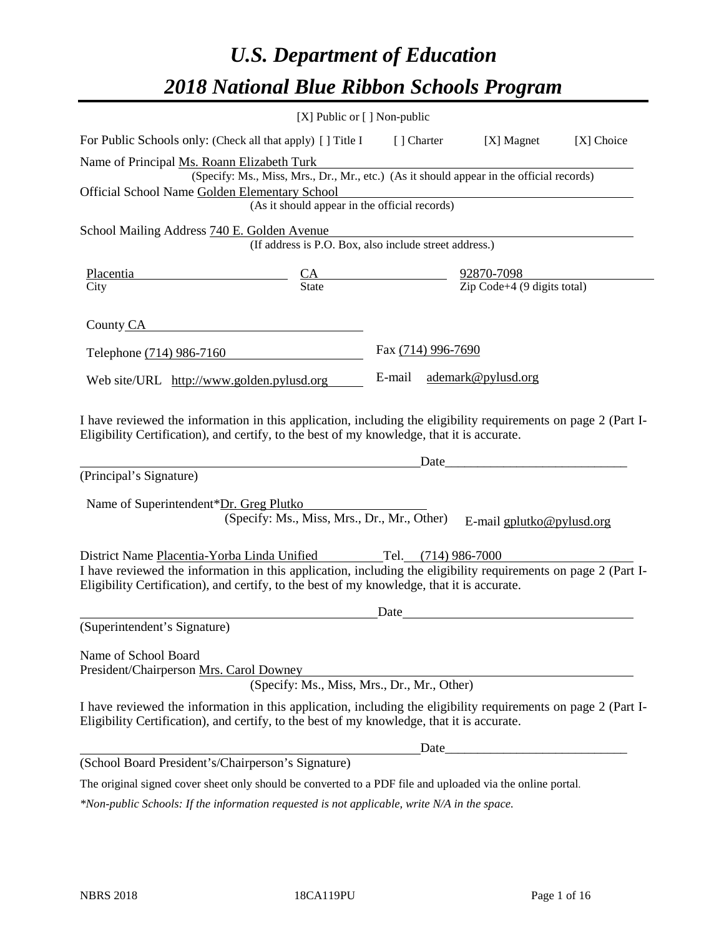# *U.S. Department of Education 2018 National Blue Ribbon Schools Program*

|                                                                                                                                                                                                              | [X] Public or [] Non-public                                                              |                     |                                                                  |            |
|--------------------------------------------------------------------------------------------------------------------------------------------------------------------------------------------------------------|------------------------------------------------------------------------------------------|---------------------|------------------------------------------------------------------|------------|
| For Public Schools only: (Check all that apply) [ ] Title I                                                                                                                                                  |                                                                                          | [ ] Charter         | [X] Magnet                                                       | [X] Choice |
| Name of Principal Ms. Roann Elizabeth Turk                                                                                                                                                                   |                                                                                          |                     |                                                                  |            |
|                                                                                                                                                                                                              | (Specify: Ms., Miss, Mrs., Dr., Mr., etc.) (As it should appear in the official records) |                     |                                                                  |            |
| Official School Name Golden Elementary School                                                                                                                                                                | (As it should appear in the official records)                                            |                     |                                                                  |            |
|                                                                                                                                                                                                              |                                                                                          |                     |                                                                  |            |
| School Mailing Address 740 E. Golden Avenue                                                                                                                                                                  | (If address is P.O. Box, also include street address.)                                   |                     |                                                                  |            |
| Placentia                                                                                                                                                                                                    | $\frac{CA}{State}$ $\frac{92870-7098}{Zip Code+4 (9 digits total)}$                      |                     |                                                                  |            |
| City                                                                                                                                                                                                         |                                                                                          |                     |                                                                  |            |
| County CA                                                                                                                                                                                                    |                                                                                          |                     |                                                                  |            |
| Telephone (714) 986-7160                                                                                                                                                                                     |                                                                                          | Fax (714) 996-7690  |                                                                  |            |
| Web site/URL http://www.golden.pylusd.org                                                                                                                                                                    |                                                                                          | E-mail              | ademark@pylusd.org                                               |            |
| (Principal's Signature)<br>Name of Superintendent*Dr. Greg Plutko                                                                                                                                            |                                                                                          | Date                |                                                                  |            |
|                                                                                                                                                                                                              | (Specify: Ms., Miss, Mrs., Dr., Mr., Other)                                              |                     | E-mail gplutko@pylusd.org                                        |            |
| District Name Placentia-Yorba Linda Unified                                                                                                                                                                  |                                                                                          | Tel. (714) 986-7000 |                                                                  |            |
| I have reviewed the information in this application, including the eligibility requirements on page 2 (Part I-<br>Eligibility Certification), and certify, to the best of my knowledge, that it is accurate. |                                                                                          |                     |                                                                  |            |
|                                                                                                                                                                                                              |                                                                                          | Date                |                                                                  |            |
| (Superintendent's Signature)                                                                                                                                                                                 |                                                                                          |                     |                                                                  |            |
| Name of School Board<br>President/Chairperson Mrs. Carol Downey                                                                                                                                              | (Specify: Ms., Miss, Mrs., Dr., Mr., Other)                                              |                     |                                                                  |            |
| I have reviewed the information in this application, including the eligibility requirements on page 2 (Part I-<br>Eligibility Certification), and certify, to the best of my knowledge, that it is accurate. |                                                                                          |                     |                                                                  |            |
|                                                                                                                                                                                                              |                                                                                          | Date_               | <u> 1980 - Jan James James Barnett, fransk politik (d. 1980)</u> |            |
| (School Board President's/Chairperson's Signature)                                                                                                                                                           |                                                                                          |                     |                                                                  |            |
| The original signed cover sheet only should be converted to a PDF file and uploaded via the online portal.                                                                                                   |                                                                                          |                     |                                                                  |            |

*\*Non-public Schools: If the information requested is not applicable, write N/A in the space.*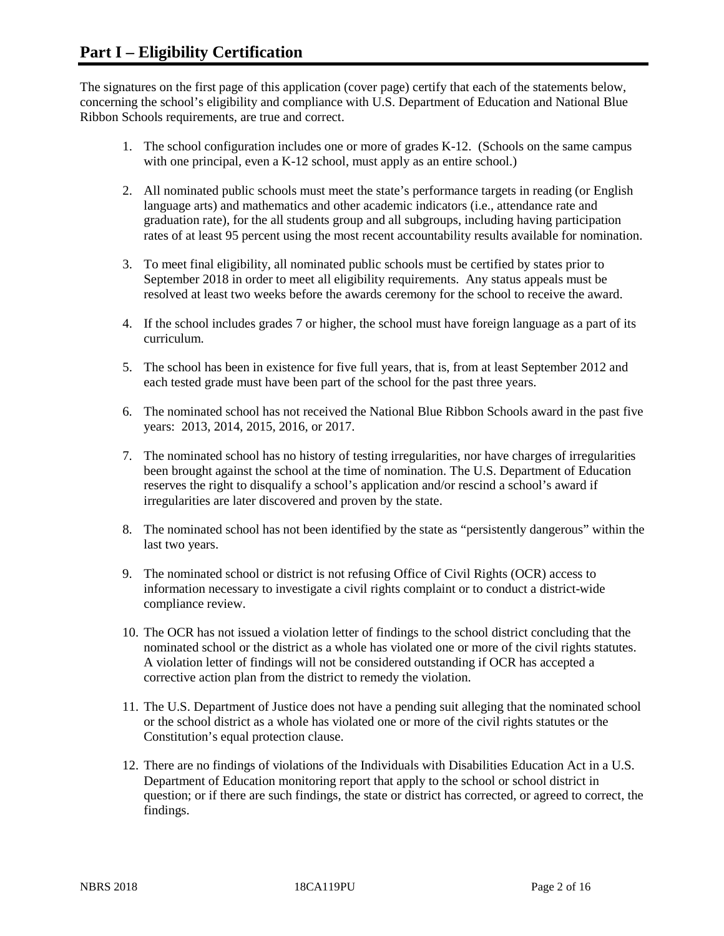The signatures on the first page of this application (cover page) certify that each of the statements below, concerning the school's eligibility and compliance with U.S. Department of Education and National Blue Ribbon Schools requirements, are true and correct.

- 1. The school configuration includes one or more of grades K-12. (Schools on the same campus with one principal, even a K-12 school, must apply as an entire school.)
- 2. All nominated public schools must meet the state's performance targets in reading (or English language arts) and mathematics and other academic indicators (i.e., attendance rate and graduation rate), for the all students group and all subgroups, including having participation rates of at least 95 percent using the most recent accountability results available for nomination.
- 3. To meet final eligibility, all nominated public schools must be certified by states prior to September 2018 in order to meet all eligibility requirements. Any status appeals must be resolved at least two weeks before the awards ceremony for the school to receive the award.
- 4. If the school includes grades 7 or higher, the school must have foreign language as a part of its curriculum.
- 5. The school has been in existence for five full years, that is, from at least September 2012 and each tested grade must have been part of the school for the past three years.
- 6. The nominated school has not received the National Blue Ribbon Schools award in the past five years: 2013, 2014, 2015, 2016, or 2017.
- 7. The nominated school has no history of testing irregularities, nor have charges of irregularities been brought against the school at the time of nomination. The U.S. Department of Education reserves the right to disqualify a school's application and/or rescind a school's award if irregularities are later discovered and proven by the state.
- 8. The nominated school has not been identified by the state as "persistently dangerous" within the last two years.
- 9. The nominated school or district is not refusing Office of Civil Rights (OCR) access to information necessary to investigate a civil rights complaint or to conduct a district-wide compliance review.
- 10. The OCR has not issued a violation letter of findings to the school district concluding that the nominated school or the district as a whole has violated one or more of the civil rights statutes. A violation letter of findings will not be considered outstanding if OCR has accepted a corrective action plan from the district to remedy the violation.
- 11. The U.S. Department of Justice does not have a pending suit alleging that the nominated school or the school district as a whole has violated one or more of the civil rights statutes or the Constitution's equal protection clause.
- 12. There are no findings of violations of the Individuals with Disabilities Education Act in a U.S. Department of Education monitoring report that apply to the school or school district in question; or if there are such findings, the state or district has corrected, or agreed to correct, the findings.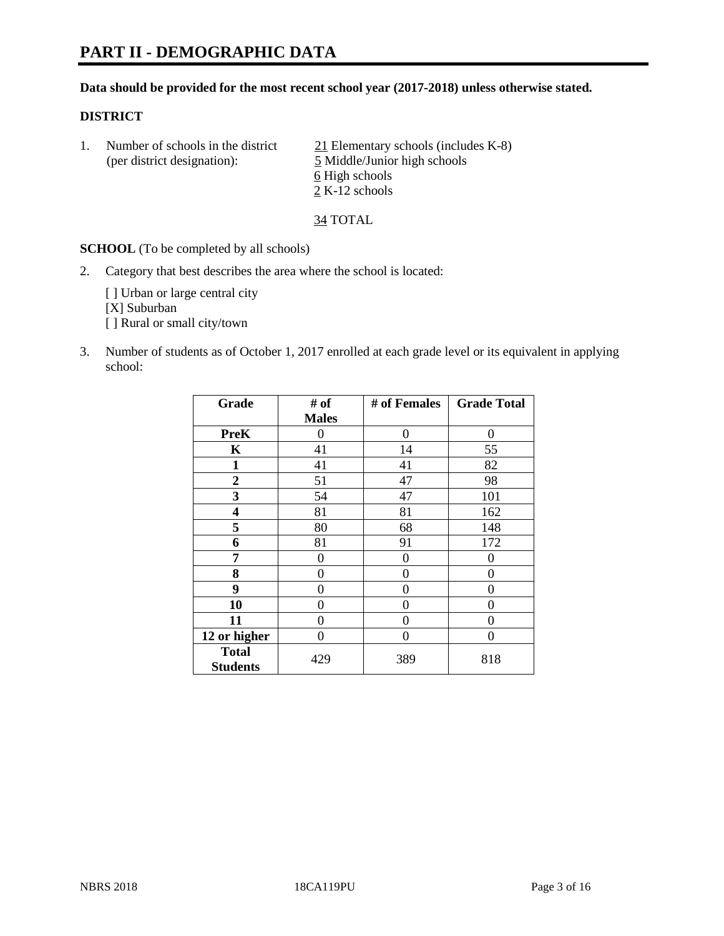#### **Data should be provided for the most recent school year (2017-2018) unless otherwise stated.**

#### **DISTRICT**

| Number of schools in the district<br>(per district designation): | 21 Elementary schools (includes K-8)<br>5 Middle/Junior high schools |
|------------------------------------------------------------------|----------------------------------------------------------------------|
|                                                                  | 6 High schools<br>2 K-12 schools                                     |

34 TOTAL

**SCHOOL** (To be completed by all schools)

2. Category that best describes the area where the school is located:

[] Urban or large central city [X] Suburban [ ] Rural or small city/town

3. Number of students as of October 1, 2017 enrolled at each grade level or its equivalent in applying school:

| Grade                           | # of         | # of Females | <b>Grade Total</b> |
|---------------------------------|--------------|--------------|--------------------|
|                                 | <b>Males</b> |              |                    |
| <b>PreK</b>                     | 0            | 0            | 0                  |
| K                               | 41           | 14           | 55                 |
| $\mathbf{1}$                    | 41           | 41           | 82                 |
| $\overline{2}$                  | 51           | 47           | 98                 |
| 3                               | 54           | 47           | 101                |
| 4                               | 81           | 81           | 162                |
| 5                               | 80           | 68           | 148                |
| 6                               | 81           | 91           | 172                |
| 7                               | 0            | 0            | 0                  |
| 8                               | 0            | 0            | 0                  |
| 9                               | 0            | 0            | 0                  |
| 10                              | 0            | 0            | 0                  |
| 11                              | 0            | 0            | 0                  |
| 12 or higher                    | 0            | $\Omega$     | 0                  |
| <b>Total</b><br><b>Students</b> | 429          | 389          | 818                |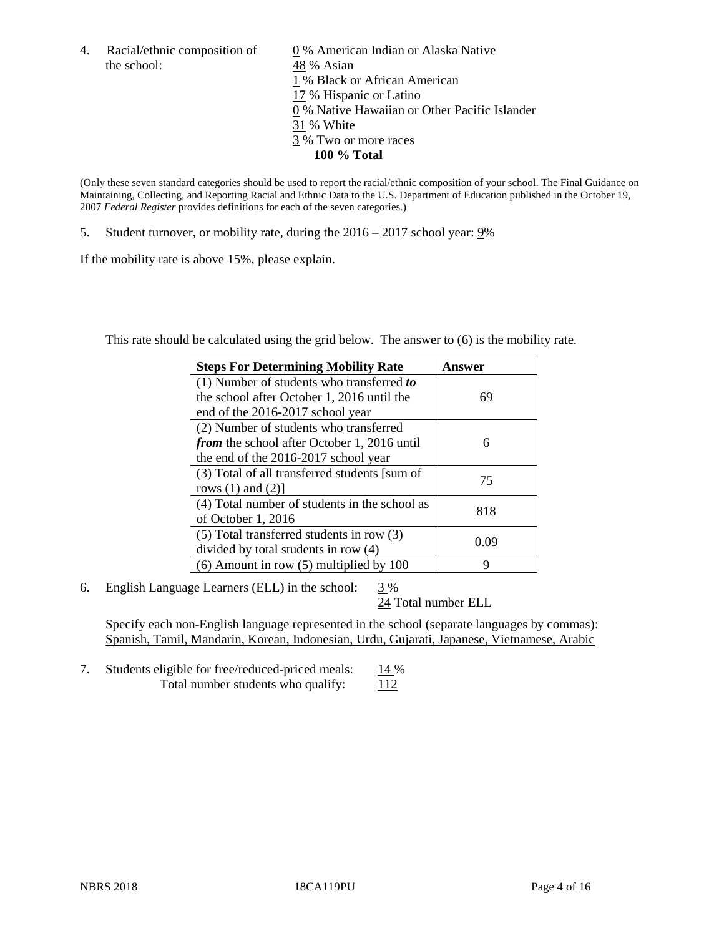the school: 48 % Asian

4. Racial/ethnic composition of  $\qquad 0\%$  American Indian or Alaska Native 1 % Black or African American 17 % Hispanic or Latino 0 % Native Hawaiian or Other Pacific Islander 31 % White 3 % Two or more races **100 % Total**

(Only these seven standard categories should be used to report the racial/ethnic composition of your school. The Final Guidance on Maintaining, Collecting, and Reporting Racial and Ethnic Data to the U.S. Department of Education published in the October 19, 2007 *Federal Register* provides definitions for each of the seven categories.)

5. Student turnover, or mobility rate, during the 2016 – 2017 school year: 9%

If the mobility rate is above 15%, please explain.

This rate should be calculated using the grid below. The answer to (6) is the mobility rate.

| <b>Steps For Determining Mobility Rate</b>         | Answer |
|----------------------------------------------------|--------|
| (1) Number of students who transferred to          |        |
| the school after October 1, 2016 until the         | 69     |
| end of the 2016-2017 school year                   |        |
| (2) Number of students who transferred             |        |
| <i>from</i> the school after October 1, 2016 until | 6      |
| the end of the 2016-2017 school year               |        |
| (3) Total of all transferred students [sum of      | 75     |
| rows $(1)$ and $(2)$ ]                             |        |
| (4) Total number of students in the school as      | 818    |
| of October 1, 2016                                 |        |
| (5) Total transferred students in row (3)          | 0.09   |
| divided by total students in row (4)               |        |
| $(6)$ Amount in row $(5)$ multiplied by 100        | 9      |

6. English Language Learners (ELL) in the school:  $3\%$ 

24 Total number ELL

Specify each non-English language represented in the school (separate languages by commas): Spanish, Tamil, Mandarin, Korean, Indonesian, Urdu, Gujarati, Japanese, Vietnamese, Arabic

7. Students eligible for free/reduced-priced meals: 14 % Total number students who qualify: 112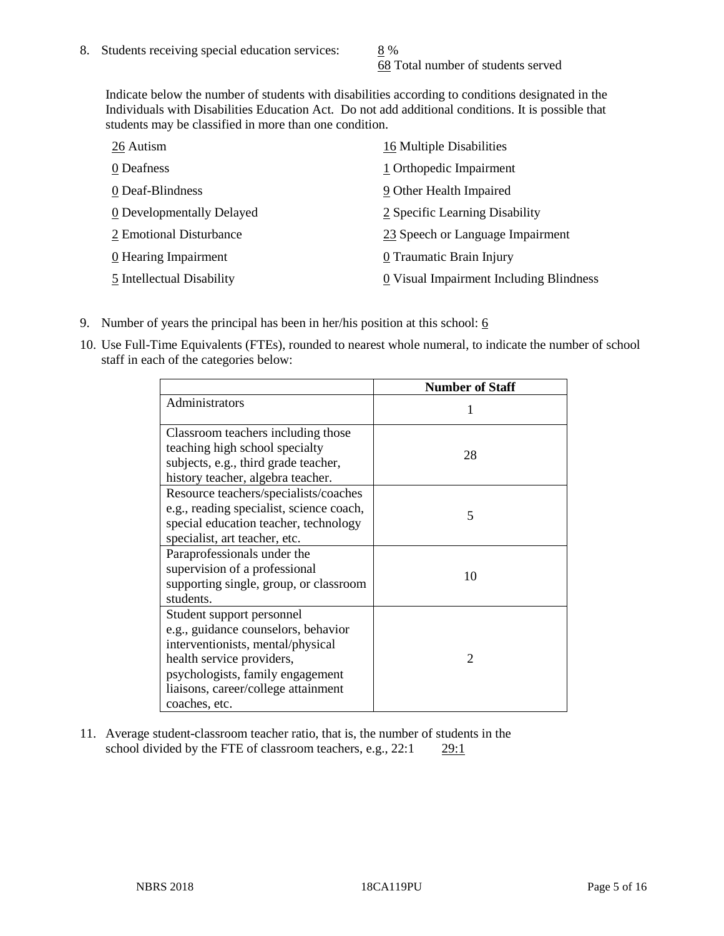68 Total number of students served

Indicate below the number of students with disabilities according to conditions designated in the Individuals with Disabilities Education Act. Do not add additional conditions. It is possible that students may be classified in more than one condition.

| 26 Autism                 | 16 Multiple Disabilities                |
|---------------------------|-----------------------------------------|
| 0 Deafness                | 1 Orthopedic Impairment                 |
| 0 Deaf-Blindness          | 9 Other Health Impaired                 |
| 0 Developmentally Delayed | 2 Specific Learning Disability          |
| 2 Emotional Disturbance   | 23 Speech or Language Impairment        |
| 0 Hearing Impairment      | 0 Traumatic Brain Injury                |
| 5 Intellectual Disability | 0 Visual Impairment Including Blindness |

- 9. Number of years the principal has been in her/his position at this school:  $6$
- 10. Use Full-Time Equivalents (FTEs), rounded to nearest whole numeral, to indicate the number of school staff in each of the categories below:

|                                                                                                                                                                                                                                | <b>Number of Staff</b> |
|--------------------------------------------------------------------------------------------------------------------------------------------------------------------------------------------------------------------------------|------------------------|
| Administrators                                                                                                                                                                                                                 |                        |
| Classroom teachers including those<br>teaching high school specialty<br>subjects, e.g., third grade teacher,<br>history teacher, algebra teacher.                                                                              | 28                     |
| Resource teachers/specialists/coaches<br>e.g., reading specialist, science coach,<br>special education teacher, technology<br>specialist, art teacher, etc.                                                                    | 5                      |
| Paraprofessionals under the<br>supervision of a professional<br>supporting single, group, or classroom<br>students.                                                                                                            | 10                     |
| Student support personnel<br>e.g., guidance counselors, behavior<br>interventionists, mental/physical<br>health service providers,<br>psychologists, family engagement<br>liaisons, career/college attainment<br>coaches, etc. | $\mathfrak{D}$         |

11. Average student-classroom teacher ratio, that is, the number of students in the school divided by the FTE of classroom teachers, e.g., 22:1 29:1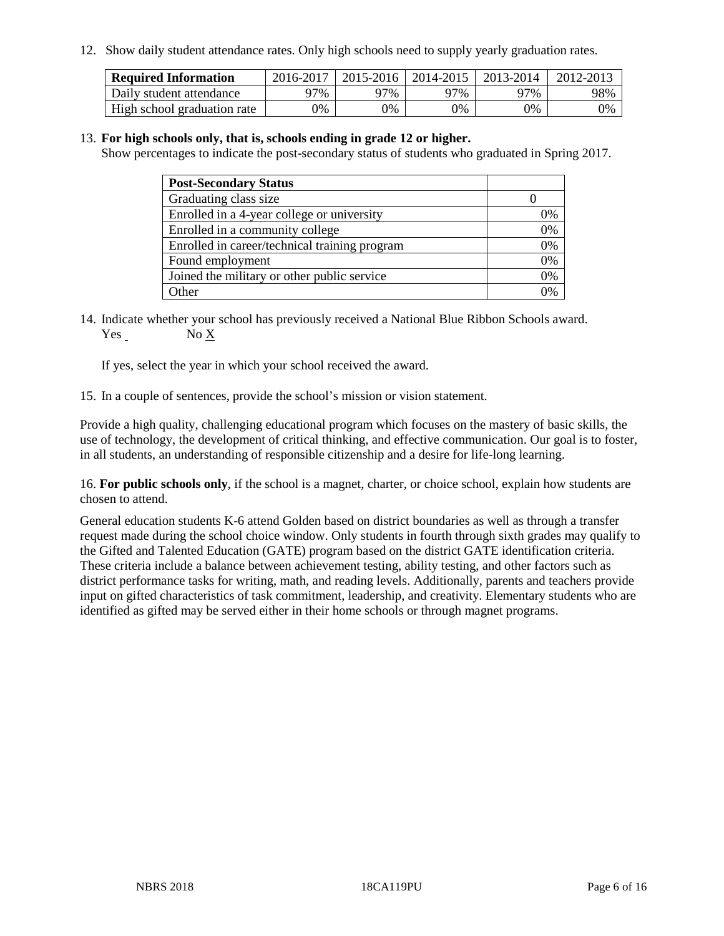12. Show daily student attendance rates. Only high schools need to supply yearly graduation rates.

| <b>Required Information</b> | 2016-2017 | $2015 - 2016$ | 2014-2015 | 2013-2014 | 2012-2013 |
|-----------------------------|-----------|---------------|-----------|-----------|-----------|
| Daily student attendance    | 97%       | 97%           | 97%       | 77%       | 98%       |
| High school graduation rate | 0%        | 0%            | 0%        | 9%        | 0%        |

#### 13. **For high schools only, that is, schools ending in grade 12 or higher.**

Show percentages to indicate the post-secondary status of students who graduated in Spring 2017.

| <b>Post-Secondary Status</b>                  |              |
|-----------------------------------------------|--------------|
| Graduating class size                         |              |
| Enrolled in a 4-year college or university    | 0%           |
| Enrolled in a community college               | 0%           |
| Enrolled in career/technical training program | 0%           |
| Found employment                              | 0%           |
| Joined the military or other public service   | 0%           |
| Other                                         | $\gamma_{0}$ |

14. Indicate whether your school has previously received a National Blue Ribbon Schools award. Yes No X

If yes, select the year in which your school received the award.

15. In a couple of sentences, provide the school's mission or vision statement.

Provide a high quality, challenging educational program which focuses on the mastery of basic skills, the use of technology, the development of critical thinking, and effective communication. Our goal is to foster, in all students, an understanding of responsible citizenship and a desire for life-long learning.

16. **For public schools only**, if the school is a magnet, charter, or choice school, explain how students are chosen to attend.

General education students K-6 attend Golden based on district boundaries as well as through a transfer request made during the school choice window. Only students in fourth through sixth grades may qualify to the Gifted and Talented Education (GATE) program based on the district GATE identification criteria. These criteria include a balance between achievement testing, ability testing, and other factors such as district performance tasks for writing, math, and reading levels. Additionally, parents and teachers provide input on gifted characteristics of task commitment, leadership, and creativity. Elementary students who are identified as gifted may be served either in their home schools or through magnet programs.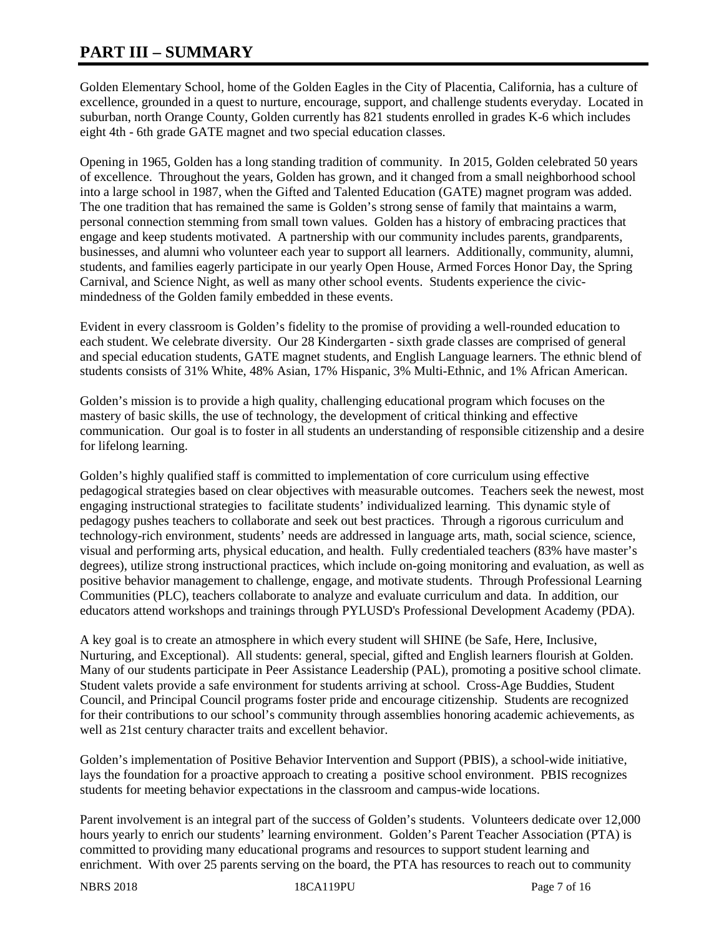# **PART III – SUMMARY**

Golden Elementary School, home of the Golden Eagles in the City of Placentia, California, has a culture of excellence, grounded in a quest to nurture, encourage, support, and challenge students everyday. Located in suburban, north Orange County, Golden currently has 821 students enrolled in grades K-6 which includes eight 4th - 6th grade GATE magnet and two special education classes.

Opening in 1965, Golden has a long standing tradition of community. In 2015, Golden celebrated 50 years of excellence. Throughout the years, Golden has grown, and it changed from a small neighborhood school into a large school in 1987, when the Gifted and Talented Education (GATE) magnet program was added. The one tradition that has remained the same is Golden's strong sense of family that maintains a warm, personal connection stemming from small town values. Golden has a history of embracing practices that engage and keep students motivated. A partnership with our community includes parents, grandparents, businesses, and alumni who volunteer each year to support all learners. Additionally, community, alumni, students, and families eagerly participate in our yearly Open House, Armed Forces Honor Day, the Spring Carnival, and Science Night, as well as many other school events. Students experience the civicmindedness of the Golden family embedded in these events.

Evident in every classroom is Golden's fidelity to the promise of providing a well-rounded education to each student. We celebrate diversity. Our 28 Kindergarten - sixth grade classes are comprised of general and special education students, GATE magnet students, and English Language learners. The ethnic blend of students consists of 31% White, 48% Asian, 17% Hispanic, 3% Multi-Ethnic, and 1% African American.

Golden's mission is to provide a high quality, challenging educational program which focuses on the mastery of basic skills, the use of technology, the development of critical thinking and effective communication. Our goal is to foster in all students an understanding of responsible citizenship and a desire for lifelong learning.

Golden's highly qualified staff is committed to implementation of core curriculum using effective pedagogical strategies based on clear objectives with measurable outcomes. Teachers seek the newest, most engaging instructional strategies to facilitate students' individualized learning. This dynamic style of pedagogy pushes teachers to collaborate and seek out best practices. Through a rigorous curriculum and technology-rich environment, students' needs are addressed in language arts, math, social science, science, visual and performing arts, physical education, and health. Fully credentialed teachers (83% have master's degrees), utilize strong instructional practices, which include on-going monitoring and evaluation, as well as positive behavior management to challenge, engage, and motivate students. Through Professional Learning Communities (PLC), teachers collaborate to analyze and evaluate curriculum and data. In addition, our educators attend workshops and trainings through PYLUSD's Professional Development Academy (PDA).

A key goal is to create an atmosphere in which every student will SHINE (be Safe, Here, Inclusive, Nurturing, and Exceptional). All students: general, special, gifted and English learners flourish at Golden. Many of our students participate in Peer Assistance Leadership (PAL), promoting a positive school climate. Student valets provide a safe environment for students arriving at school. Cross-Age Buddies, Student Council, and Principal Council programs foster pride and encourage citizenship. Students are recognized for their contributions to our school's community through assemblies honoring academic achievements, as well as 21st century character traits and excellent behavior.

Golden's implementation of Positive Behavior Intervention and Support (PBIS), a school-wide initiative, lays the foundation for a proactive approach to creating a positive school environment. PBIS recognizes students for meeting behavior expectations in the classroom and campus-wide locations.

Parent involvement is an integral part of the success of Golden's students. Volunteers dedicate over 12,000 hours yearly to enrich our students' learning environment. Golden's Parent Teacher Association (PTA) is committed to providing many educational programs and resources to support student learning and enrichment. With over 25 parents serving on the board, the PTA has resources to reach out to community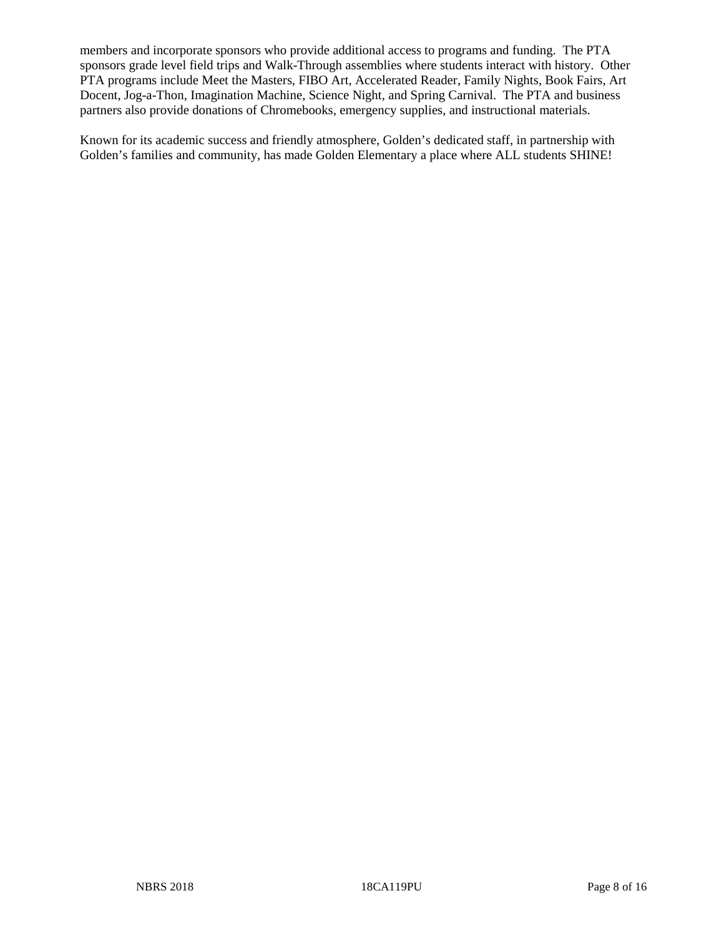members and incorporate sponsors who provide additional access to programs and funding. The PTA sponsors grade level field trips and Walk-Through assemblies where students interact with history. Other PTA programs include Meet the Masters, FIBO Art, Accelerated Reader, Family Nights, Book Fairs, Art Docent, Jog-a-Thon, Imagination Machine, Science Night, and Spring Carnival. The PTA and business partners also provide donations of Chromebooks, emergency supplies, and instructional materials.

Known for its academic success and friendly atmosphere, Golden's dedicated staff, in partnership with Golden's families and community, has made Golden Elementary a place where ALL students SHINE!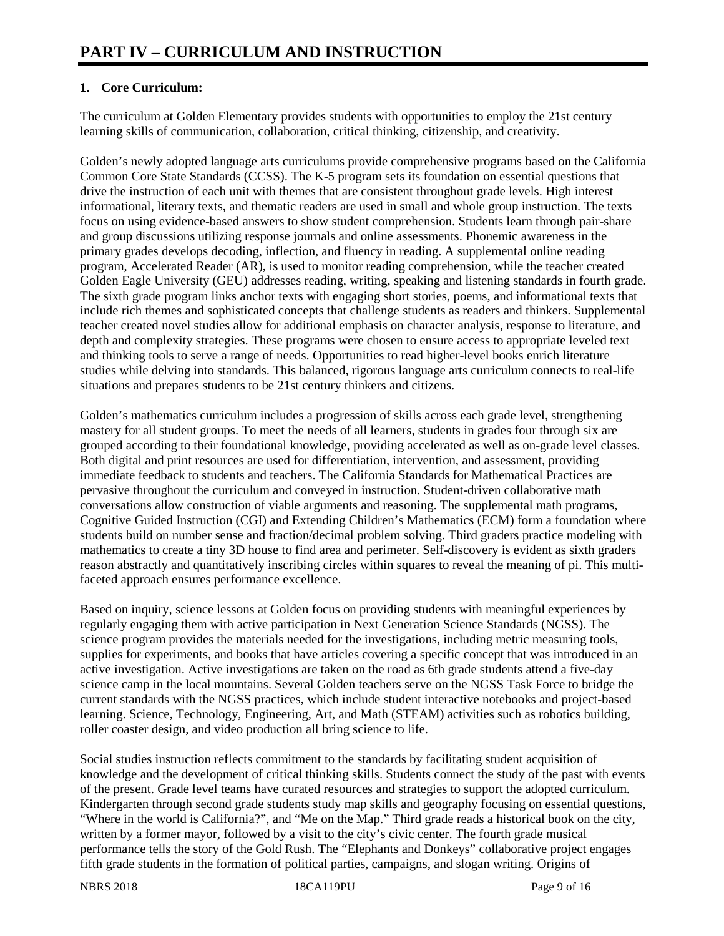## **1. Core Curriculum:**

The curriculum at Golden Elementary provides students with opportunities to employ the 21st century learning skills of communication, collaboration, critical thinking, citizenship, and creativity.

Golden's newly adopted language arts curriculums provide comprehensive programs based on the California Common Core State Standards (CCSS). The K-5 program sets its foundation on essential questions that drive the instruction of each unit with themes that are consistent throughout grade levels. High interest informational, literary texts, and thematic readers are used in small and whole group instruction. The texts focus on using evidence-based answers to show student comprehension. Students learn through pair-share and group discussions utilizing response journals and online assessments. Phonemic awareness in the primary grades develops decoding, inflection, and fluency in reading. A supplemental online reading program, Accelerated Reader (AR), is used to monitor reading comprehension, while the teacher created Golden Eagle University (GEU) addresses reading, writing, speaking and listening standards in fourth grade. The sixth grade program links anchor texts with engaging short stories, poems, and informational texts that include rich themes and sophisticated concepts that challenge students as readers and thinkers. Supplemental teacher created novel studies allow for additional emphasis on character analysis, response to literature, and depth and complexity strategies. These programs were chosen to ensure access to appropriate leveled text and thinking tools to serve a range of needs. Opportunities to read higher-level books enrich literature studies while delving into standards. This balanced, rigorous language arts curriculum connects to real-life situations and prepares students to be 21st century thinkers and citizens.

Golden's mathematics curriculum includes a progression of skills across each grade level, strengthening mastery for all student groups. To meet the needs of all learners, students in grades four through six are grouped according to their foundational knowledge, providing accelerated as well as on-grade level classes. Both digital and print resources are used for differentiation, intervention, and assessment, providing immediate feedback to students and teachers. The California Standards for Mathematical Practices are pervasive throughout the curriculum and conveyed in instruction. Student-driven collaborative math conversations allow construction of viable arguments and reasoning. The supplemental math programs, Cognitive Guided Instruction (CGI) and Extending Children's Mathematics (ECM) form a foundation where students build on number sense and fraction/decimal problem solving. Third graders practice modeling with mathematics to create a tiny 3D house to find area and perimeter. Self-discovery is evident as sixth graders reason abstractly and quantitatively inscribing circles within squares to reveal the meaning of pi. This multifaceted approach ensures performance excellence.

Based on inquiry, science lessons at Golden focus on providing students with meaningful experiences by regularly engaging them with active participation in Next Generation Science Standards (NGSS). The science program provides the materials needed for the investigations, including metric measuring tools, supplies for experiments, and books that have articles covering a specific concept that was introduced in an active investigation. Active investigations are taken on the road as 6th grade students attend a five-day science camp in the local mountains. Several Golden teachers serve on the NGSS Task Force to bridge the current standards with the NGSS practices, which include student interactive notebooks and project-based learning. Science, Technology, Engineering, Art, and Math (STEAM) activities such as robotics building, roller coaster design, and video production all bring science to life.

Social studies instruction reflects commitment to the standards by facilitating student acquisition of knowledge and the development of critical thinking skills. Students connect the study of the past with events of the present. Grade level teams have curated resources and strategies to support the adopted curriculum. Kindergarten through second grade students study map skills and geography focusing on essential questions, "Where in the world is California?", and "Me on the Map." Third grade reads a historical book on the city, written by a former mayor, followed by a visit to the city's civic center. The fourth grade musical performance tells the story of the Gold Rush. The "Elephants and Donkeys" collaborative project engages fifth grade students in the formation of political parties, campaigns, and slogan writing. Origins of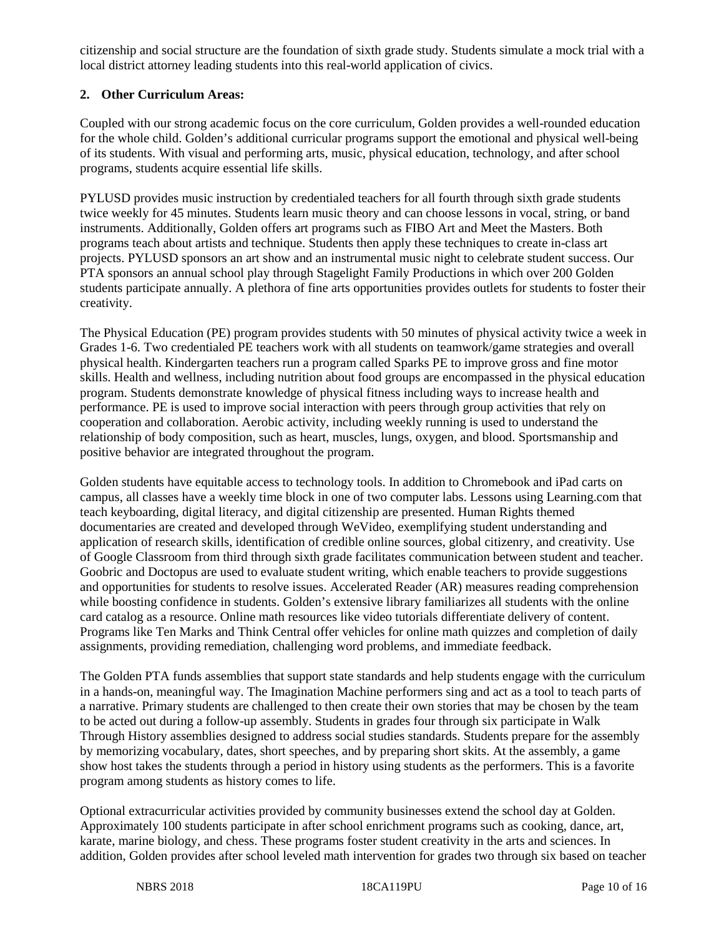citizenship and social structure are the foundation of sixth grade study. Students simulate a mock trial with a local district attorney leading students into this real-world application of civics.

## **2. Other Curriculum Areas:**

Coupled with our strong academic focus on the core curriculum, Golden provides a well-rounded education for the whole child. Golden's additional curricular programs support the emotional and physical well-being of its students. With visual and performing arts, music, physical education, technology, and after school programs, students acquire essential life skills.

PYLUSD provides music instruction by credentialed teachers for all fourth through sixth grade students twice weekly for 45 minutes. Students learn music theory and can choose lessons in vocal, string, or band instruments. Additionally, Golden offers art programs such as FIBO Art and Meet the Masters. Both programs teach about artists and technique. Students then apply these techniques to create in-class art projects. PYLUSD sponsors an art show and an instrumental music night to celebrate student success. Our PTA sponsors an annual school play through Stagelight Family Productions in which over 200 Golden students participate annually. A plethora of fine arts opportunities provides outlets for students to foster their creativity.

The Physical Education (PE) program provides students with 50 minutes of physical activity twice a week in Grades 1-6. Two credentialed PE teachers work with all students on teamwork/game strategies and overall physical health. Kindergarten teachers run a program called Sparks PE to improve gross and fine motor skills. Health and wellness, including nutrition about food groups are encompassed in the physical education program. Students demonstrate knowledge of physical fitness including ways to increase health and performance. PE is used to improve social interaction with peers through group activities that rely on cooperation and collaboration. Aerobic activity, including weekly running is used to understand the relationship of body composition, such as heart, muscles, lungs, oxygen, and blood. Sportsmanship and positive behavior are integrated throughout the program.

Golden students have equitable access to technology tools. In addition to Chromebook and iPad carts on campus, all classes have a weekly time block in one of two computer labs. Lessons using Learning.com that teach keyboarding, digital literacy, and digital citizenship are presented. Human Rights themed documentaries are created and developed through WeVideo, exemplifying student understanding and application of research skills, identification of credible online sources, global citizenry, and creativity. Use of Google Classroom from third through sixth grade facilitates communication between student and teacher. Goobric and Doctopus are used to evaluate student writing, which enable teachers to provide suggestions and opportunities for students to resolve issues. Accelerated Reader (AR) measures reading comprehension while boosting confidence in students. Golden's extensive library familiarizes all students with the online card catalog as a resource. Online math resources like video tutorials differentiate delivery of content. Programs like Ten Marks and Think Central offer vehicles for online math quizzes and completion of daily assignments, providing remediation, challenging word problems, and immediate feedback.

The Golden PTA funds assemblies that support state standards and help students engage with the curriculum in a hands-on, meaningful way. The Imagination Machine performers sing and act as a tool to teach parts of a narrative. Primary students are challenged to then create their own stories that may be chosen by the team to be acted out during a follow-up assembly. Students in grades four through six participate in Walk Through History assemblies designed to address social studies standards. Students prepare for the assembly by memorizing vocabulary, dates, short speeches, and by preparing short skits. At the assembly, a game show host takes the students through a period in history using students as the performers. This is a favorite program among students as history comes to life.

Optional extracurricular activities provided by community businesses extend the school day at Golden. Approximately 100 students participate in after school enrichment programs such as cooking, dance, art, karate, marine biology, and chess. These programs foster student creativity in the arts and sciences. In addition, Golden provides after school leveled math intervention for grades two through six based on teacher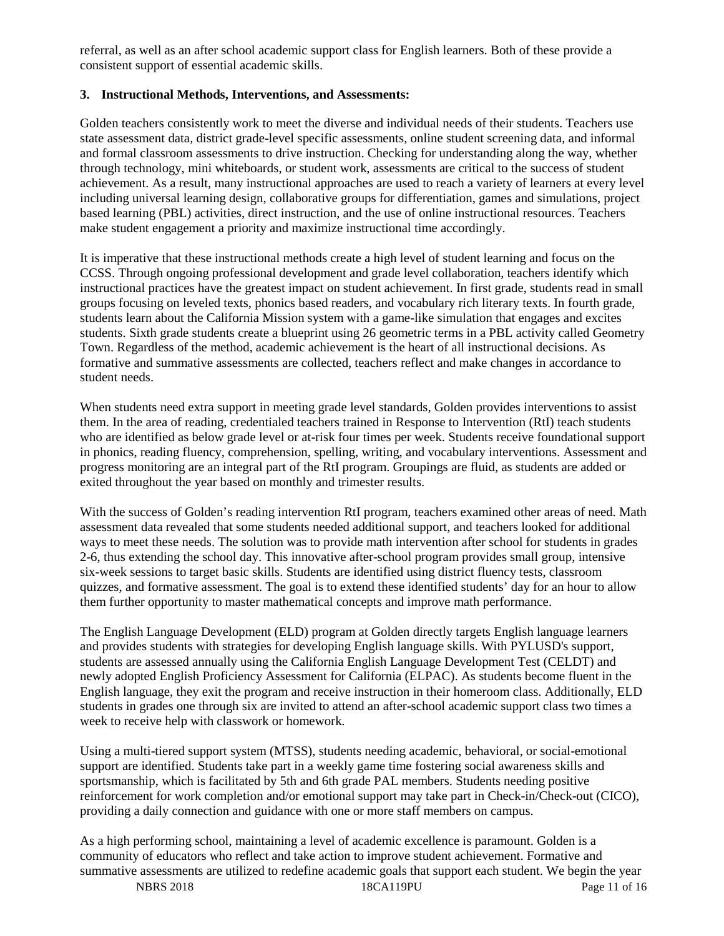referral, as well as an after school academic support class for English learners. Both of these provide a consistent support of essential academic skills.

#### **3. Instructional Methods, Interventions, and Assessments:**

Golden teachers consistently work to meet the diverse and individual needs of their students. Teachers use state assessment data, district grade-level specific assessments, online student screening data, and informal and formal classroom assessments to drive instruction. Checking for understanding along the way, whether through technology, mini whiteboards, or student work, assessments are critical to the success of student achievement. As a result, many instructional approaches are used to reach a variety of learners at every level including universal learning design, collaborative groups for differentiation, games and simulations, project based learning (PBL) activities, direct instruction, and the use of online instructional resources. Teachers make student engagement a priority and maximize instructional time accordingly.

It is imperative that these instructional methods create a high level of student learning and focus on the CCSS. Through ongoing professional development and grade level collaboration, teachers identify which instructional practices have the greatest impact on student achievement. In first grade, students read in small groups focusing on leveled texts, phonics based readers, and vocabulary rich literary texts. In fourth grade, students learn about the California Mission system with a game-like simulation that engages and excites students. Sixth grade students create a blueprint using 26 geometric terms in a PBL activity called Geometry Town. Regardless of the method, academic achievement is the heart of all instructional decisions. As formative and summative assessments are collected, teachers reflect and make changes in accordance to student needs.

When students need extra support in meeting grade level standards, Golden provides interventions to assist them. In the area of reading, credentialed teachers trained in Response to Intervention (RtI) teach students who are identified as below grade level or at-risk four times per week. Students receive foundational support in phonics, reading fluency, comprehension, spelling, writing, and vocabulary interventions. Assessment and progress monitoring are an integral part of the RtI program. Groupings are fluid, as students are added or exited throughout the year based on monthly and trimester results.

With the success of Golden's reading intervention RtI program, teachers examined other areas of need. Math assessment data revealed that some students needed additional support, and teachers looked for additional ways to meet these needs. The solution was to provide math intervention after school for students in grades 2-6, thus extending the school day. This innovative after-school program provides small group, intensive six-week sessions to target basic skills. Students are identified using district fluency tests, classroom quizzes, and formative assessment. The goal is to extend these identified students' day for an hour to allow them further opportunity to master mathematical concepts and improve math performance.

The English Language Development (ELD) program at Golden directly targets English language learners and provides students with strategies for developing English language skills. With PYLUSD's support, students are assessed annually using the California English Language Development Test (CELDT) and newly adopted English Proficiency Assessment for California (ELPAC). As students become fluent in the English language, they exit the program and receive instruction in their homeroom class. Additionally, ELD students in grades one through six are invited to attend an after-school academic support class two times a week to receive help with classwork or homework.

Using a multi-tiered support system (MTSS), students needing academic, behavioral, or social-emotional support are identified. Students take part in a weekly game time fostering social awareness skills and sportsmanship, which is facilitated by 5th and 6th grade PAL members. Students needing positive reinforcement for work completion and/or emotional support may take part in Check-in/Check-out (CICO), providing a daily connection and guidance with one or more staff members on campus.

As a high performing school, maintaining a level of academic excellence is paramount. Golden is a community of educators who reflect and take action to improve student achievement. Formative and summative assessments are utilized to redefine academic goals that support each student. We begin the year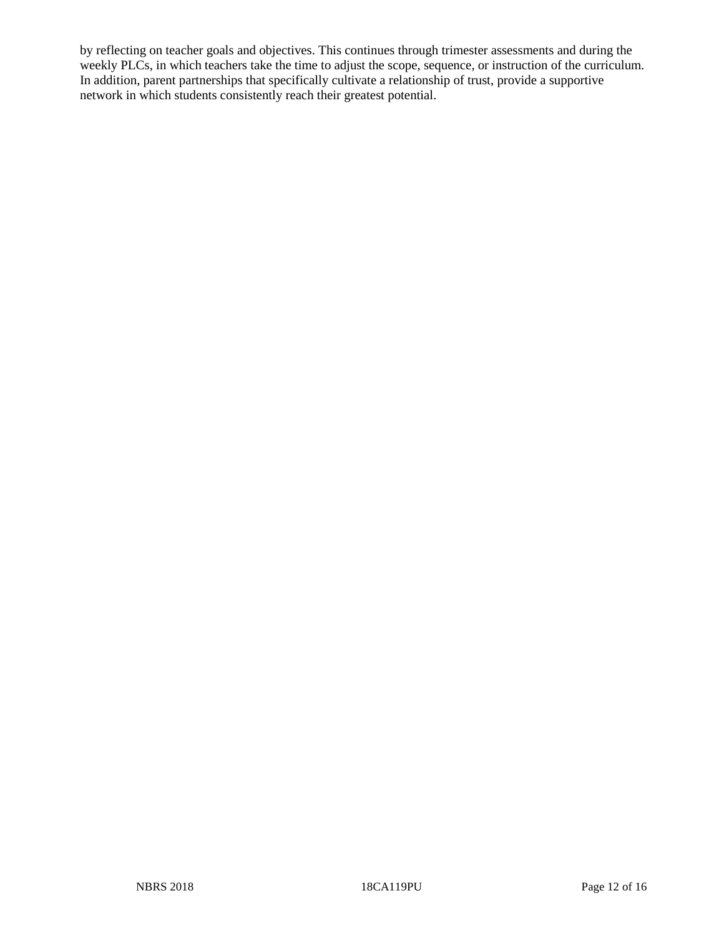by reflecting on teacher goals and objectives. This continues through trimester assessments and during the weekly PLCs, in which teachers take the time to adjust the scope, sequence, or instruction of the curriculum. In addition, parent partnerships that specifically cultivate a relationship of trust, provide a supportive network in which students consistently reach their greatest potential.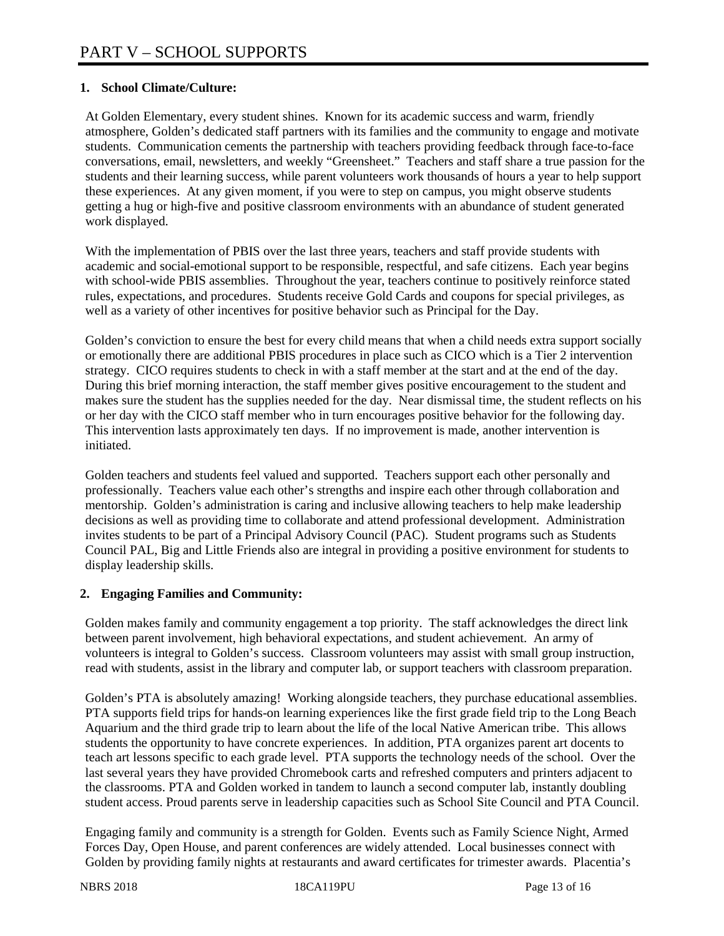#### **1. School Climate/Culture:**

At Golden Elementary, every student shines. Known for its academic success and warm, friendly atmosphere, Golden's dedicated staff partners with its families and the community to engage and motivate students. Communication cements the partnership with teachers providing feedback through face-to-face conversations, email, newsletters, and weekly "Greensheet." Teachers and staff share a true passion for the students and their learning success, while parent volunteers work thousands of hours a year to help support these experiences. At any given moment, if you were to step on campus, you might observe students getting a hug or high-five and positive classroom environments with an abundance of student generated work displayed.

With the implementation of PBIS over the last three years, teachers and staff provide students with academic and social-emotional support to be responsible, respectful, and safe citizens. Each year begins with school-wide PBIS assemblies. Throughout the year, teachers continue to positively reinforce stated rules, expectations, and procedures. Students receive Gold Cards and coupons for special privileges, as well as a variety of other incentives for positive behavior such as Principal for the Day.

Golden's conviction to ensure the best for every child means that when a child needs extra support socially or emotionally there are additional PBIS procedures in place such as CICO which is a Tier 2 intervention strategy. CICO requires students to check in with a staff member at the start and at the end of the day. During this brief morning interaction, the staff member gives positive encouragement to the student and makes sure the student has the supplies needed for the day. Near dismissal time, the student reflects on his or her day with the CICO staff member who in turn encourages positive behavior for the following day. This intervention lasts approximately ten days. If no improvement is made, another intervention is initiated.

Golden teachers and students feel valued and supported. Teachers support each other personally and professionally. Teachers value each other's strengths and inspire each other through collaboration and mentorship. Golden's administration is caring and inclusive allowing teachers to help make leadership decisions as well as providing time to collaborate and attend professional development. Administration invites students to be part of a Principal Advisory Council (PAC). Student programs such as Students Council PAL, Big and Little Friends also are integral in providing a positive environment for students to display leadership skills.

#### **2. Engaging Families and Community:**

Golden makes family and community engagement a top priority. The staff acknowledges the direct link between parent involvement, high behavioral expectations, and student achievement. An army of volunteers is integral to Golden's success. Classroom volunteers may assist with small group instruction, read with students, assist in the library and computer lab, or support teachers with classroom preparation.

Golden's PTA is absolutely amazing! Working alongside teachers, they purchase educational assemblies. PTA supports field trips for hands-on learning experiences like the first grade field trip to the Long Beach Aquarium and the third grade trip to learn about the life of the local Native American tribe. This allows students the opportunity to have concrete experiences. In addition, PTA organizes parent art docents to teach art lessons specific to each grade level. PTA supports the technology needs of the school. Over the last several years they have provided Chromebook carts and refreshed computers and printers adjacent to the classrooms. PTA and Golden worked in tandem to launch a second computer lab, instantly doubling student access. Proud parents serve in leadership capacities such as School Site Council and PTA Council.

Engaging family and community is a strength for Golden. Events such as Family Science Night, Armed Forces Day, Open House, and parent conferences are widely attended. Local businesses connect with Golden by providing family nights at restaurants and award certificates for trimester awards. Placentia's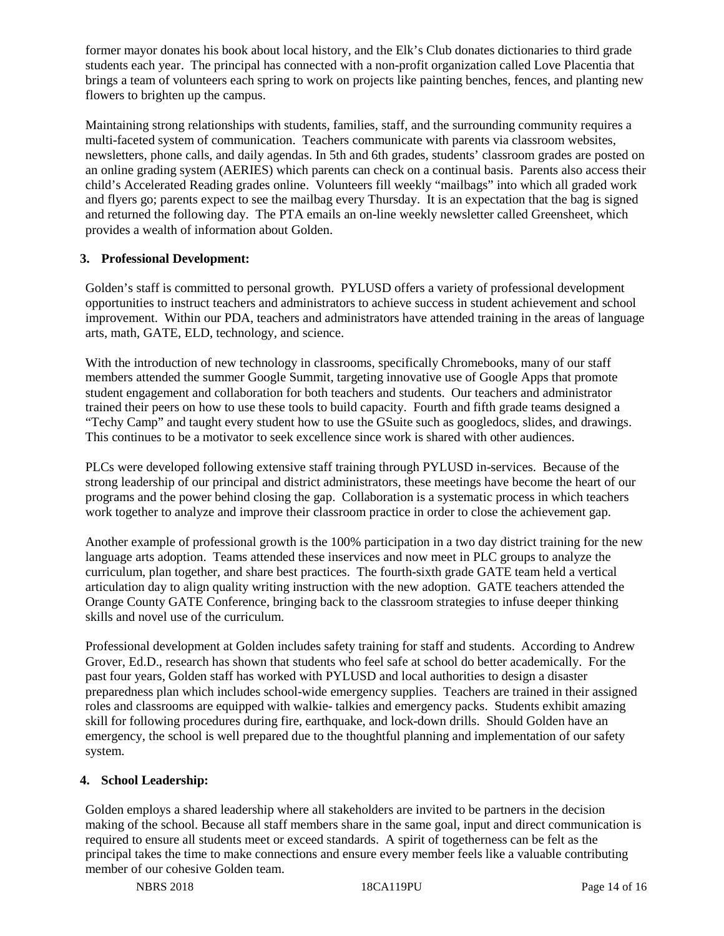former mayor donates his book about local history, and the Elk's Club donates dictionaries to third grade students each year. The principal has connected with a non-profit organization called Love Placentia that brings a team of volunteers each spring to work on projects like painting benches, fences, and planting new flowers to brighten up the campus.

Maintaining strong relationships with students, families, staff, and the surrounding community requires a multi-faceted system of communication. Teachers communicate with parents via classroom websites, newsletters, phone calls, and daily agendas. In 5th and 6th grades, students' classroom grades are posted on an online grading system (AERIES) which parents can check on a continual basis. Parents also access their child's Accelerated Reading grades online. Volunteers fill weekly "mailbags" into which all graded work and flyers go; parents expect to see the mailbag every Thursday. It is an expectation that the bag is signed and returned the following day. The PTA emails an on-line weekly newsletter called Greensheet, which provides a wealth of information about Golden.

#### **3. Professional Development:**

Golden's staff is committed to personal growth. PYLUSD offers a variety of professional development opportunities to instruct teachers and administrators to achieve success in student achievement and school improvement. Within our PDA, teachers and administrators have attended training in the areas of language arts, math, GATE, ELD, technology, and science.

With the introduction of new technology in classrooms, specifically Chromebooks, many of our staff members attended the summer Google Summit, targeting innovative use of Google Apps that promote student engagement and collaboration for both teachers and students. Our teachers and administrator trained their peers on how to use these tools to build capacity. Fourth and fifth grade teams designed a "Techy Camp" and taught every student how to use the GSuite such as googledocs, slides, and drawings. This continues to be a motivator to seek excellence since work is shared with other audiences.

PLCs were developed following extensive staff training through PYLUSD in-services. Because of the strong leadership of our principal and district administrators, these meetings have become the heart of our programs and the power behind closing the gap. Collaboration is a systematic process in which teachers work together to analyze and improve their classroom practice in order to close the achievement gap.

Another example of professional growth is the 100% participation in a two day district training for the new language arts adoption. Teams attended these inservices and now meet in PLC groups to analyze the curriculum, plan together, and share best practices. The fourth-sixth grade GATE team held a vertical articulation day to align quality writing instruction with the new adoption. GATE teachers attended the Orange County GATE Conference, bringing back to the classroom strategies to infuse deeper thinking skills and novel use of the curriculum.

Professional development at Golden includes safety training for staff and students. According to Andrew Grover, Ed.D., research has shown that students who feel safe at school do better academically. For the past four years, Golden staff has worked with PYLUSD and local authorities to design a disaster preparedness plan which includes school-wide emergency supplies. Teachers are trained in their assigned roles and classrooms are equipped with walkie- talkies and emergency packs. Students exhibit amazing skill for following procedures during fire, earthquake, and lock-down drills. Should Golden have an emergency, the school is well prepared due to the thoughtful planning and implementation of our safety system.

## **4. School Leadership:**

Golden employs a shared leadership where all stakeholders are invited to be partners in the decision making of the school. Because all staff members share in the same goal, input and direct communication is required to ensure all students meet or exceed standards. A spirit of togetherness can be felt as the principal takes the time to make connections and ensure every member feels like a valuable contributing member of our cohesive Golden team.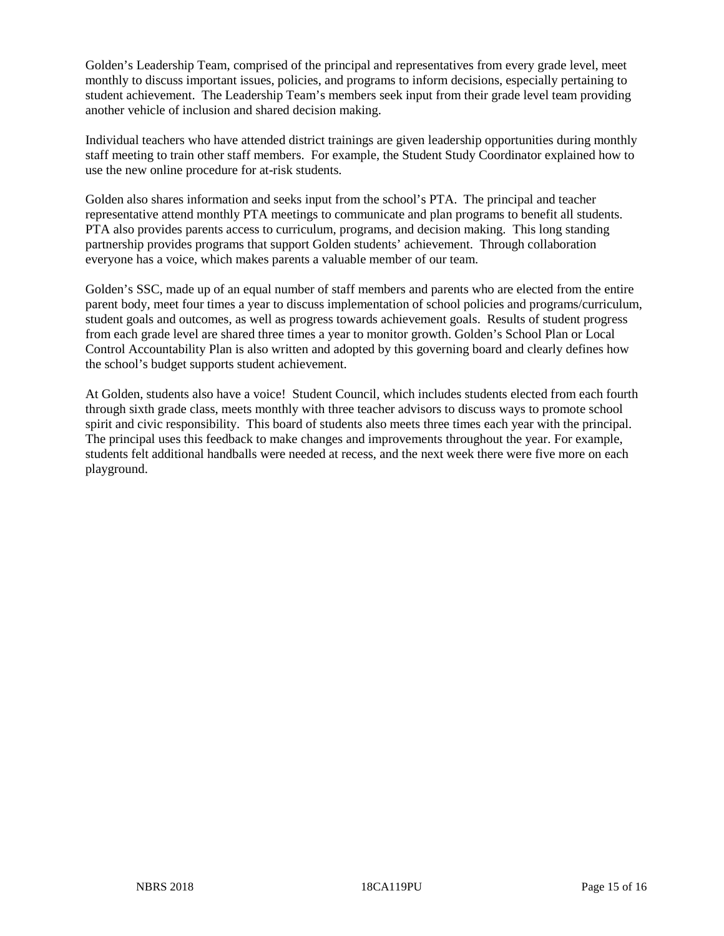Golden's Leadership Team, comprised of the principal and representatives from every grade level, meet monthly to discuss important issues, policies, and programs to inform decisions, especially pertaining to student achievement. The Leadership Team's members seek input from their grade level team providing another vehicle of inclusion and shared decision making.

Individual teachers who have attended district trainings are given leadership opportunities during monthly staff meeting to train other staff members. For example, the Student Study Coordinator explained how to use the new online procedure for at-risk students.

Golden also shares information and seeks input from the school's PTA. The principal and teacher representative attend monthly PTA meetings to communicate and plan programs to benefit all students. PTA also provides parents access to curriculum, programs, and decision making. This long standing partnership provides programs that support Golden students' achievement. Through collaboration everyone has a voice, which makes parents a valuable member of our team.

Golden's SSC, made up of an equal number of staff members and parents who are elected from the entire parent body, meet four times a year to discuss implementation of school policies and programs/curriculum, student goals and outcomes, as well as progress towards achievement goals. Results of student progress from each grade level are shared three times a year to monitor growth. Golden's School Plan or Local Control Accountability Plan is also written and adopted by this governing board and clearly defines how the school's budget supports student achievement.

At Golden, students also have a voice! Student Council, which includes students elected from each fourth through sixth grade class, meets monthly with three teacher advisors to discuss ways to promote school spirit and civic responsibility. This board of students also meets three times each year with the principal. The principal uses this feedback to make changes and improvements throughout the year. For example, students felt additional handballs were needed at recess, and the next week there were five more on each playground.